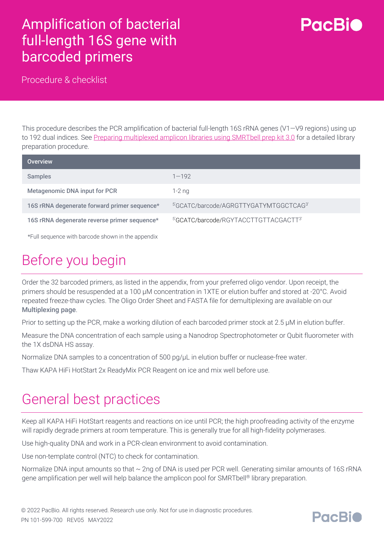#### Amplification of bacterial full-length 16S gene with barcoded primers



Procedure & checklist

This procedure describes the PCR amplification of bacterial full-length 16S rRNA genes (V1—V9 regions) using up to 192 dual indices. See [Preparing multiplexed amplicon libraries using SMRTbell prep kit 3.0](https://www.pacb.com/wp-content/uploads/Procedure-checklist-Preparing-multiplexed-amplicon-libraries-using-SMRTbell-prep-kit-3.0.pdf) for a detailed library preparation procedure.

| <b>Overview</b>                                   |                                                    |
|---------------------------------------------------|----------------------------------------------------|
| <b>Samples</b>                                    | $1 - 192$                                          |
| Metagenomic DNA input for PCR                     | $1-2$ ng                                           |
| 16S rRNA degenerate forward primer sequence*      | <sup>5</sup> 'GCATC/barcode/AGRGTTYGATYMTGGCTCAG3' |
| 16S rRNA degenerate reverse primer sequence*      | 5'GCATC/barcode/RGYTACCTTGTTACGACTT3'              |
| *Full sequence with barcode shown in the appendix |                                                    |

## Before you begin

Order the 32 barcoded primers, as listed in the appendix, from your preferred oligo vendor. Upon receipt, the primers should be resuspended at a 100 µM concentration in 1XTE or elution buffer and stored at -20°C. Avoid repeated freeze-thaw cycles. The Oligo Order Sheet and FASTA file for demultiplexing are available on our [Multiplexing page](https://www.pacb.com/smrt-science/smrt-sequencing/multiplexing/).

Prior to setting up the PCR, make a working dilution of each barcoded primer stock at 2.5 µM in elution buffer.

Measure the DNA concentration of each sample using a Nanodrop Spectrophotometer or Qubit fluorometer with the 1X dsDNA HS assay.

Normalize DNA samples to a concentration of 500 pg/uL in elution buffer or nuclease-free water.

Thaw KAPA HiFi HotStart 2x ReadyMix PCR Reagent on ice and mix well before use.

#### General best practices

Keep all KAPA HiFi HotStart reagents and reactions on ice until PCR; the high proofreading activity of the enzyme will rapidly degrade primers at room temperature. This is generally true for all high-fidelity polymerases.

Use high-quality DNA and work in a PCR-clean environment to avoid contamination.

Use non-template control (NTC) to check for contamination.

Normalize DNA input amounts so that  $\sim$  2ng of DNA is used per PCR well. Generating similar amounts of 16S rRNA gene amplification per well will help balance the amplicon pool for SMRTbell® library preparation.

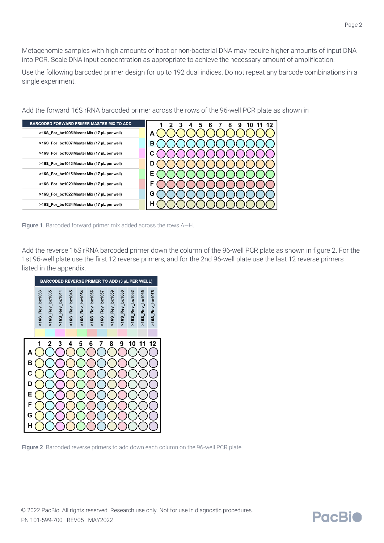Metagenomic samples with high amounts of host or non-bacterial DNA may require higher amounts of input DNA into PCR. Scale DNA input concentration as appropriate to achieve the necessary amount of amplification.

Use the following barcoded primer design for up to 192 dual indices. Do not repeat any barcode combinations in a single experiment.



Add the forward 16S rRNA barcoded primer across the rows of the 96-well PCR plate as shown in

Figure 1. Barcoded forward primer mix added across the rows A-H.

Add the reverse 16S rRNA barcoded primer down the column of the 96-well PCR plate as shown in figure 2. For the 1st 96-well plate use the first 12 reverse primers, and for the 2nd 96-well plate use the last 12 reverse primers listed in the appendix.





**PacBio**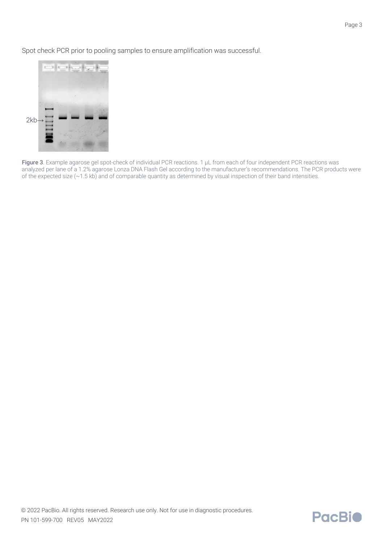Spot check PCR prior to pooling samples to ensure amplification was successful.



Figure 3. Example agarose gel spot-check of individual PCR reactions. 1 µL from each of four independent PCR reactions was analyzed per lane of a 1.2% agarose Lonza DNA Flash Gel according to the manufacturer's recommendations. The PCR products were of the expected size (~1.5 kb) and of comparable quantity as determined by visual inspection of their band intensities.

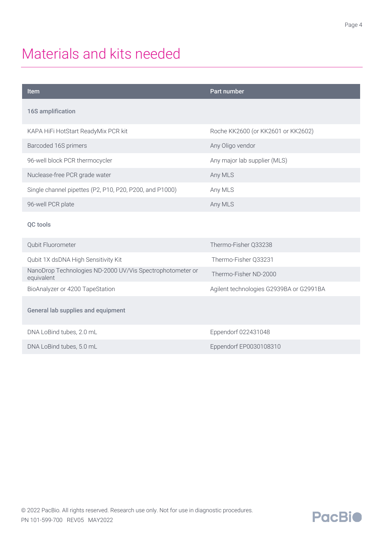### Materials and kits needed

| <b>Item</b>                                                             | Part number                             |
|-------------------------------------------------------------------------|-----------------------------------------|
| 16S amplification                                                       |                                         |
| KAPA HiFi HotStart ReadyMix PCR kit                                     | Roche KK2600 (or KK2601 or KK2602)      |
| Barcoded 16S primers                                                    | Any Oligo vendor                        |
| 96-well block PCR thermocycler                                          | Any major lab supplier (MLS)            |
| Nuclease-free PCR grade water                                           | Any MLS                                 |
| Single channel pipettes (P2, P10, P20, P200, and P1000)                 | Any MLS                                 |
| 96-well PCR plate                                                       | Any MLS                                 |
| QC tools                                                                |                                         |
| Qubit Fluorometer                                                       | Thermo-Fisher Q33238                    |
| Qubit 1X dsDNA High Sensitivity Kit                                     | Thermo-Fisher Q33231                    |
| NanoDrop Technologies ND-2000 UV/Vis Spectrophotometer or<br>equivalent | Thermo-Fisher ND-2000                   |
| BioAnalyzer or 4200 TapeStation                                         | Agilent technologies G2939BA or G2991BA |
| General lab supplies and equipment                                      |                                         |
| DNA LoBind tubes, 2.0 mL                                                | Eppendorf 022431048                     |
| DNA LoBind tubes, 5.0 mL                                                | Eppendorf EP0030108310                  |
|                                                                         |                                         |

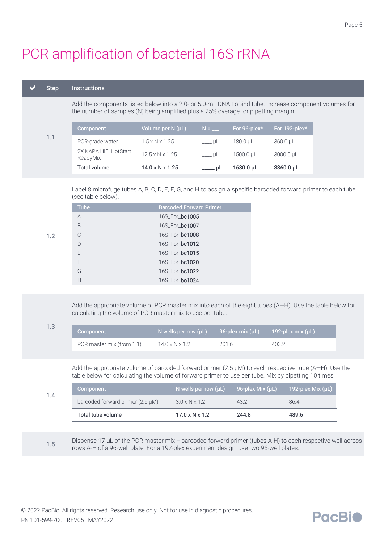## PCR amplification of bacterial 16S rRNA

#### Step Instructions

1.2

Add the components listed below into a 2.0- or 5.0-mL DNA LoBind tube. Increase component volumes for the number of samples (N) being amplified plus a 25% overage for pipetting margin.

|     | Component                         | Volume per N (µL)           | $N =$       | For 96-plex*     | For 192-plex* |
|-----|-----------------------------------|-----------------------------|-------------|------------------|---------------|
| 1.1 | PCR-grade water                   | $1.5 \times N \times 1.25$  | i uL        | 180.0 uL         | $360.0 \mu L$ |
|     | 2X KAPA HiFi HotStart<br>ReadyMix | $12.5 \times N \times 1.25$ | $y = \mu L$ | $1500.0 \,\mu L$ | 3000.0 µL     |
|     | <b>Total volume</b>               | $14.0 \times N \times 1.25$ | . uL        | $1680.0 \,\mu L$ | 3360.0 µL     |

Label 8 microfuge tubes A, B, C, D, E, F, G, and H to assign a specific barcoded forward primer to each tube (see table below).

| <b>Tube</b>   | <b>Barcoded Forward Primer</b> |
|---------------|--------------------------------|
| A             | 16S For <b>bc1005</b>          |
| B             | 16S For <b>bc1007</b>          |
| $\mathcal{C}$ | 16S For <b>bc1008</b>          |
| $\Box$        | 16S For bc1012                 |
| F             | 16S For bc1015                 |
| F             | 16S For <b>bc1020</b>          |
| G             | 16S For bc1022                 |
| Н             | 16S For <b>bc1024</b>          |
|               |                                |

Add the appropriate volume of PCR master mix into each of the eight tubes (A—H). Use the table below for calculating the volume of PCR master mix to use per tube.

| 1.3 | Component                 | N wells per row $(\mu L)$ 96-plex mix $(\mu L)$ 192-plex mix $(\mu L)$ |      |       |
|-----|---------------------------|------------------------------------------------------------------------|------|-------|
|     | PCR master mix (from 1.1) | $14.0 \times N \times 1.2$                                             | 2016 | 403.2 |

Add the appropriate volume of barcoded forward primer  $(2.5 \mu M)$  to each respective tube  $(A-H)$ . Use the table below for calculating the volume of forward primer to use per tube. Mix by pipetting 10 times.

| 1.4 | Total tube volume                     | $17.0 \times N \times 1.2$ | 244.8            | 489.6             |
|-----|---------------------------------------|----------------------------|------------------|-------------------|
|     | barcoded forward primer $(2.5 \mu M)$ | $3.0 \times N \times 1.2$  | 43.2             | 86.4              |
|     | Component                             | N wells per row $(\mu L)$  | 96-plex Mix (µL) | 192-plex Mix (µL) |

1.5 Dispense 17 µL of the PCR master mix + barcoded forward primer (tubes A-H) to each respective well across rows A-H of a 96-well plate. For a 192-plex experiment design, use two 96-well plates.

**PacBio**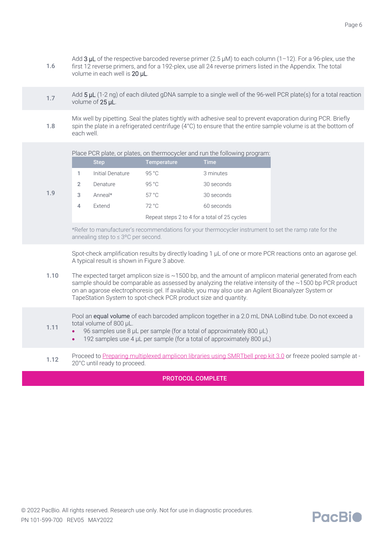1.7 Add 5 µL (1-2 ng) of each diluted gDNA sample to a single well of the 96-well PCR plate(s) for a total reaction volume of 25 µL.

1.8 Mix well by pipetting. Seal the plates tightly with adhesive seal to prevent evaporation during PCR. Briefly spin the plate in a refrigerated centrifuge (4°C) to ensure that the entire sample volume is at the bottom of each well.

Place PCR plate, or plates, on thermocycler and run the following program:

|   | <b>Step</b>      | <b>Temperature</b>                           | <b>Time</b> |
|---|------------------|----------------------------------------------|-------------|
|   | Initial Denature | 95 °C                                        | 3 minutes   |
| 2 | Denature         | 95 °C                                        | 30 seconds  |
| 3 | Anneal*          | $57^{\circ}$ C                               | 30 seconds  |
| 4 | Extend           | 72 °C                                        | 60 seconds  |
|   |                  | Repeat steps 2 to 4 for a total of 25 cycles |             |

1.9

\*Refer to manufacturer's recommendations for your thermocycler instrument to set the ramp rate for the annealing step to ≤ 3ºC per second.

Spot-check amplification results by directly loading 1  $\mu$ L of one or more PCR reactions onto an agarose gel. A typical result is shown in Figure 3 above.

1.10 The expected target amplicon size is ~1500 bp, and the amount of amplicon material generated from each sample should be comparable as assessed by analyzing the relative intensity of the ~1500 bp PCR product on an agarose electrophoresis gel. If available, you may also use an Agilent Bioanalyzer System or TapeStation System to spot-check PCR product size and quantity.

1.11 Pool an **equal volume** of each barcoded amplicon together in a 2.0 mL DNA LoBind tube. Do not exceed a total volume of 800 µL.

- 96 samples use 8 µL per sample (for a total of approximately 800 µL)
- 192 samples use 4 µL per sample (for a total of approximately 800 µL)
- 1.12 Proceed to [Preparing multiplexed amplicon libraries using SMRTbell prep kit 3.0](https://www.pacb.com/wp-content/uploads/Procedure-checklist-Preparing-multiplexed-amplicon-libraries-using-SMRTbell-prep-kit-3.0.pdf) or freeze pooled sample at -20°C until ready to proceed.

#### PROTOCOL COMPLETE

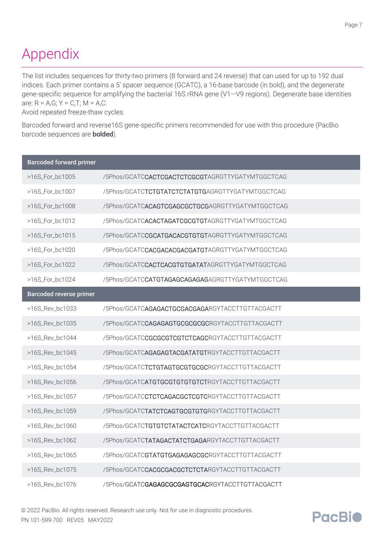# Appendix

The list includes sequences for thirty-two primers (8 forward and 24 reverse) that can used for up to 192 dual indices. Each primer contains a 5' spacer sequence (GCATC), a 16-base barcode (in bold), and the degenerate gene-specific sequence for amplifying the bacterial 16S rRNA gene (V1—V9 regions). Degenerate base identities are:  $R = A.G$ ;  $Y = C.T$ ;  $M = A.C$ .

Avoid repeated freeze-thaw cycles.

Barcoded forward and reverse16S gene-specific primers recommended for use with this procedure (PacBio barcode sequences are bolded).

| <b>Barcoded forward primer</b> |                                                           |
|--------------------------------|-----------------------------------------------------------|
| >16S_For_bc1005                | /5Phos/GCATCCACTCGACTCTCGCGTAGRGTTYGATYMTGGCTCAG          |
| >16S For bc1007                | /5Phos/GCATCTCTGTATCTCTATGTGAGRGTTYGATYMTGGCTCAG          |
| >16S_For_bc1008                | /5Phos/GCATCACAGTCGAGCGCTGCGAGRGTTYGATYMTGGCTCAG          |
| >16S_For_bc1012                | /5Phos/GCATCACACTAGATCGCGTGTAGRGTTYGATYMTGGCTCAG          |
| >16S_For_bc1015                | /5Phos/GCATCCGCATGACACGTGTGTAGRGTTYGATYMTGGCTCAG          |
| >16S_For_bc1020                | /5Phos/GCATCCACGACACGACGATGTAGRGTTYGATYMTGGCTCAG          |
| >16S_For_bc1022                | /5Phos/GCATC <b>CACTCACGTGTGATAT</b> AGRGTTYGATYMTGGCTCAG |
| >16S_For_bc1024                | /5Phos/GCATCCATGTAGAGCAGAGAGAGRGTTYGATYMTGGCTCAG          |
| <b>Barcoded reverse primer</b> |                                                           |
| >16S_Rev_bc1033                | /5Phos/GCATCAGAGACTGCGACGAGARGYTACCTTGTTACGACTT           |
| >16S_Rev_bc1035                | /5Phos/GCATC <b>CAGAGAGTGCGCGCGCR</b> GYTACCTTGTTACGACTT  |
| >16S Rev bc1044                | /5Phos/GCATCCGCGCGTCGTCTCAGCRGYTACCTTGTTACGACTT           |
| >16S_Rev_bc1045                | /5Phos/GCATCAGAGAGTACGATATGTRGYTACCTTGTTACGACTT           |
| >16S_Rev_bc1054                | /5Phos/GCATC <b>TCTGTAGTGCGTGCGC</b> RGYTACCTTGTTACGACTT  |
| >16S_Rev_bc1056                | /5Phos/GCATCATGTGCGTGTGTGTCTRGYTACCTTGTTACGACTT           |
| >16S_Rev_bc1057                | /5Phos/GCATCCTCTCAGACGCTCGTCRGYTACCTTGTTACGACTT           |
| >16S Rev bc1059                | /5Phos/GCATCTATCTCAGTGCGTGTGRGYTACCTTGTTACGACTT           |
| >16S_Rev_bc1060                | /5Phos/GCATCTGTGTCTATACTCATCRGYTACCTTGTTACGACTT           |
| >16S_Rev_bc1062                | /5Phos/GCATC <b>TATAGACTATCTGAGA</b> RGYTACCTTGTTACGACTT  |
| >16S_Rev_bc1065                | /5Phos/GCATCGTATGTGAGAGAGCGCRGYTACCTTGTTACGACTT           |
| >16S_Rev_bc1075                | /5Phos/GCATCCACGCGACGCTCTCTARGYTACCTTGTTACGACTT           |
| >16S Rev bc1076                | /5Phos/GCATCGAGAGCGCGAGTGCACRGYTACCTTGTTACGACTT           |

© 2022 PacBio. All rights reserved. Research use only. Not for use in diagnostic procedures. PN 101-599-700 REV05 MAY2022